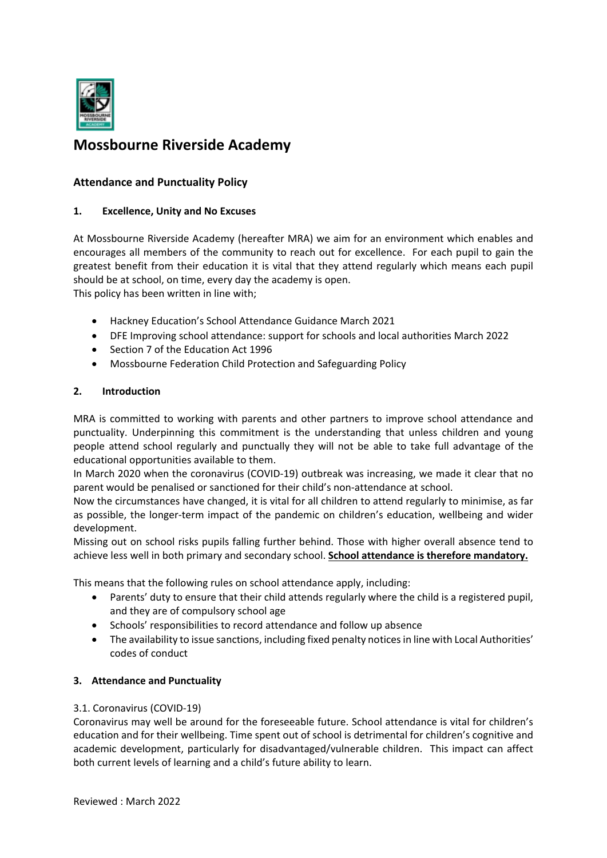

# **Mossbourne Riverside Academy**

## **Attendance and Punctuality Policy**

## **1. Excellence, Unity and No Excuses**

At Mossbourne Riverside Academy (hereafter MRA) we aim for an environment which enables and encourages all members of the community to reach out for excellence. For each pupil to gain the greatest benefit from their education it is vital that they attend regularly which means each pupil should be at school, on time, every day the academy is open. This policy has been written in line with;

- Hackney Education's School Attendance Guidance March 2021
- DFE Improving school attendance: support for schools and local authorities March 2022
- Section 7 of the Education Act 1996
- Mossbourne Federation Child Protection and Safeguarding Policy

## **2. Introduction**

MRA is committed to working with parents and other partners to improve school attendance and punctuality. Underpinning this commitment is the understanding that unless children and young people attend school regularly and punctually they will not be able to take full advantage of the educational opportunities available to them.

In March 2020 when the coronavirus (COVID-19) outbreak was increasing, we made it clear that no parent would be penalised or sanctioned for their child's non‐attendance at school.

Now the circumstances have changed, it is vital for all children to attend regularly to minimise, as far as possible, the longer‐term impact of the pandemic on children's education, wellbeing and wider development.

Missing out on school risks pupils falling further behind. Those with higher overall absence tend to achieve less well in both primary and secondary school. **School attendance is therefore mandatory.**

This means that the following rules on school attendance apply, including:

- Parents' duty to ensure that their child attends regularly where the child is a registered pupil, and they are of compulsory school age
- Schools' responsibilities to record attendance and follow up absence
- The availability to issue sanctions, including fixed penalty notices in line with Local Authorities' codes of conduct

## **3. Attendance and Punctuality**

#### 3.1. Coronavirus (COVID‐19)

Coronavirus may well be around for the foreseeable future. School attendance is vital for children's education and for their wellbeing. Time spent out of school is detrimental for children's cognitive and academic development, particularly for disadvantaged/vulnerable children. This impact can affect both current levels of learning and a child's future ability to learn.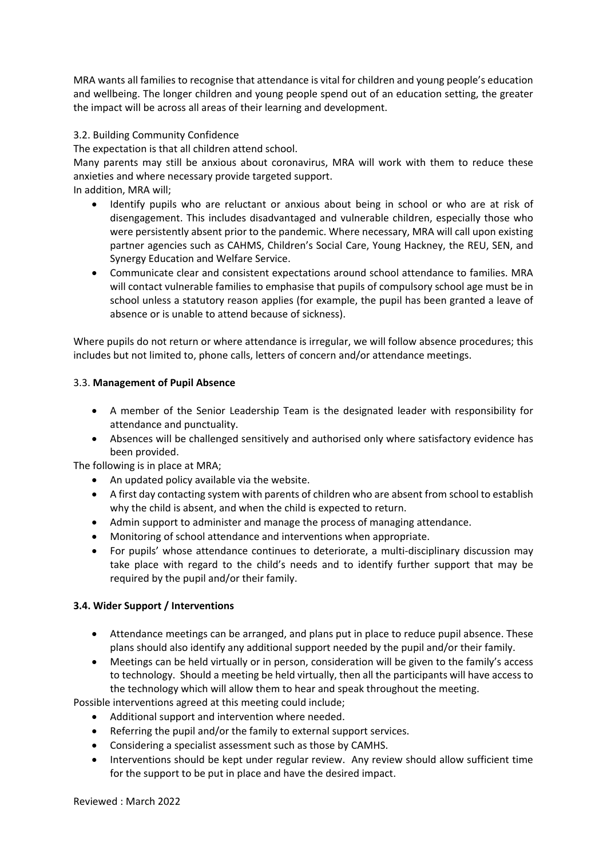MRA wants all families to recognise that attendance is vital for children and young people's education and wellbeing. The longer children and young people spend out of an education setting, the greater the impact will be across all areas of their learning and development.

## 3.2. Building Community Confidence

The expectation is that all children attend school.

Many parents may still be anxious about coronavirus, MRA will work with them to reduce these anxieties and where necessary provide targeted support.

In addition, MRA will;

- Identify pupils who are reluctant or anxious about being in school or who are at risk of disengagement. This includes disadvantaged and vulnerable children, especially those who were persistently absent prior to the pandemic. Where necessary, MRA will call upon existing partner agencies such as CAHMS, Children's Social Care, Young Hackney, the REU, SEN, and Synergy Education and Welfare Service.
- Communicate clear and consistent expectations around school attendance to families. MRA will contact vulnerable families to emphasise that pupils of compulsory school age must be in school unless a statutory reason applies (for example, the pupil has been granted a leave of absence or is unable to attend because of sickness).

Where pupils do not return or where attendance is irregular, we will follow absence procedures; this includes but not limited to, phone calls, letters of concern and/or attendance meetings.

## 3.3. **Management of Pupil Absence**

- A member of the Senior Leadership Team is the designated leader with responsibility for attendance and punctuality.
- Absences will be challenged sensitively and authorised only where satisfactory evidence has been provided.

The following is in place at MRA;

- An updated policy available via the website.
- A first day contacting system with parents of children who are absent from school to establish why the child is absent, and when the child is expected to return.
- Admin support to administer and manage the process of managing attendance.
- Monitoring of school attendance and interventions when appropriate.
- For pupils' whose attendance continues to deteriorate, a multi-disciplinary discussion may take place with regard to the child's needs and to identify further support that may be required by the pupil and/or their family.

## **3.4. Wider Support / Interventions**

- Attendance meetings can be arranged, and plans put in place to reduce pupil absence. These plans should also identify any additional support needed by the pupil and/or their family.
- Meetings can be held virtually or in person, consideration will be given to the family's access to technology. Should a meeting be held virtually, then all the participants will have access to the technology which will allow them to hear and speak throughout the meeting.

Possible interventions agreed at this meeting could include;

- Additional support and intervention where needed.
- Referring the pupil and/or the family to external support services.
- Considering a specialist assessment such as those by CAMHS.
- Interventions should be kept under regular review. Any review should allow sufficient time for the support to be put in place and have the desired impact.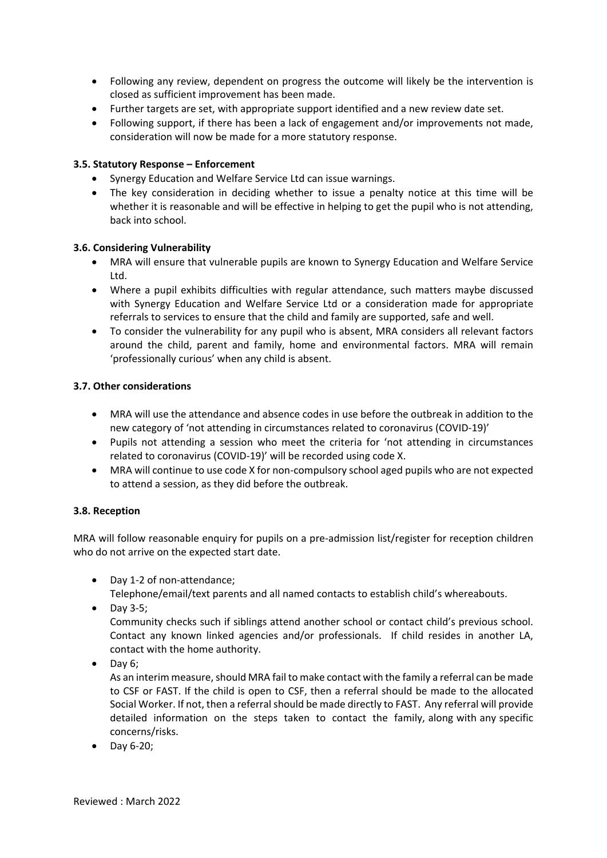- Following any review, dependent on progress the outcome will likely be the intervention is closed as sufficient improvement has been made.
- Further targets are set, with appropriate support identified and a new review date set.
- Following support, if there has been a lack of engagement and/or improvements not made, consideration will now be made for a more statutory response.

## **3.5. Statutory Response – Enforcement**

- Synergy Education and Welfare Service Ltd can issue warnings.
- The key consideration in deciding whether to issue a penalty notice at this time will be whether it is reasonable and will be effective in helping to get the pupil who is not attending, back into school.

#### **3.6. Considering Vulnerability**

- MRA will ensure that vulnerable pupils are known to Synergy Education and Welfare Service Ltd.
- Where a pupil exhibits difficulties with regular attendance, such matters maybe discussed with Synergy Education and Welfare Service Ltd or a consideration made for appropriate referrals to services to ensure that the child and family are supported, safe and well.
- To consider the vulnerability for any pupil who is absent, MRA considers all relevant factors around the child, parent and family, home and environmental factors. MRA will remain 'professionally curious' when any child is absent.

#### **3.7. Other considerations**

- MRA will use the attendance and absence codes in use before the outbreak in addition to the new category of 'not attending in circumstances related to coronavirus (COVID‐19)'
- Pupils not attending a session who meet the criteria for 'not attending in circumstances related to coronavirus (COVID‐19)' will be recorded using code X.
- MRA will continue to use code X for non-compulsory school aged pupils who are not expected to attend a session, as they did before the outbreak.

#### **3.8. Reception**

MRA will follow reasonable enquiry for pupils on a pre-admission list/register for reception children who do not arrive on the expected start date.

● Day 1-2 of non-attendance;

Telephone/email/text parents and all named contacts to establish child's whereabouts.

• Day 3-5;

Community checks such if siblings attend another school or contact child's previous school. Contact any known linked agencies and/or professionals. If child resides in another LA, contact with the home authority.

 $\bullet$  Day 6;

As an interim measure, should MRA fail to make contact with the family a referral can be made to CSF or FAST. If the child is open to CSF, then a referral should be made to the allocated Social Worker. If not, then a referral should be made directly to FAST. Any referral will provide detailed information on the steps taken to contact the family, along with any specific concerns/risks.

● Day 6-20: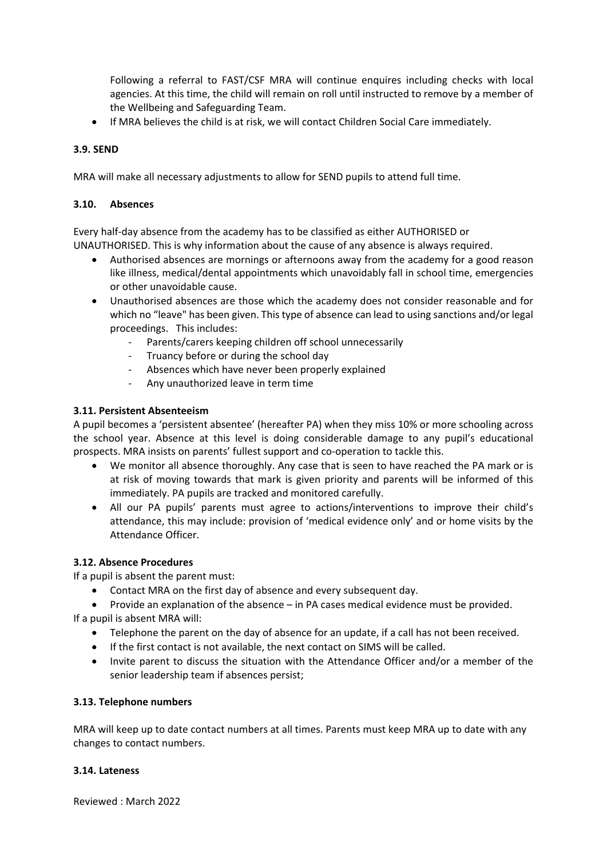Following a referral to FAST/CSF MRA will continue enquires including checks with local agencies. At this time, the child will remain on roll until instructed to remove by a member of the Wellbeing and Safeguarding Team.

If MRA believes the child is at risk, we will contact Children Social Care immediately.

## **3.9. SEND**

MRA will make all necessary adjustments to allow for SEND pupils to attend full time.

#### **3.10. Absences**

Every half‐day absence from the academy has to be classified as either AUTHORISED or UNAUTHORISED. This is why information about the cause of any absence is always required.

- Authorised absences are mornings or afternoons away from the academy for a good reason like illness, medical/dental appointments which unavoidably fall in school time, emergencies or other unavoidable cause.
- Unauthorised absences are those which the academy does not consider reasonable and for which no "leave" has been given. This type of absence can lead to using sanctions and/or legal proceedings. This includes:
	- ‐ Parents/carers keeping children off school unnecessarily
	- ‐ Truancy before or during the school day
	- Absences which have never been properly explained
	- ‐ Any unauthorized leave in term time

#### **3.11. Persistent Absenteeism**

A pupil becomes a 'persistent absentee' (hereafter PA) when they miss 10% or more schooling across the school year. Absence at this level is doing considerable damage to any pupil's educational prospects. MRA insists on parents' fullest support and co-operation to tackle this.

- We monitor all absence thoroughly. Any case that is seen to have reached the PA mark or is at risk of moving towards that mark is given priority and parents will be informed of this immediately. PA pupils are tracked and monitored carefully.
- All our PA pupils' parents must agree to actions/interventions to improve their child's attendance, this may include: provision of 'medical evidence only' and or home visits by the Attendance Officer.

#### **3.12. Absence Procedures**

If a pupil is absent the parent must:

- Contact MRA on the first day of absence and every subsequent day.
- Provide an explanation of the absence in PA cases medical evidence must be provided.

If a pupil is absent MRA will:

- Telephone the parent on the day of absence for an update, if a call has not been received.
- If the first contact is not available, the next contact on SIMS will be called.
- Invite parent to discuss the situation with the Attendance Officer and/or a member of the senior leadership team if absences persist;

#### **3.13. Telephone numbers**

MRA will keep up to date contact numbers at all times. Parents must keep MRA up to date with any changes to contact numbers.

#### **3.14. Lateness**

Reviewed : March 2022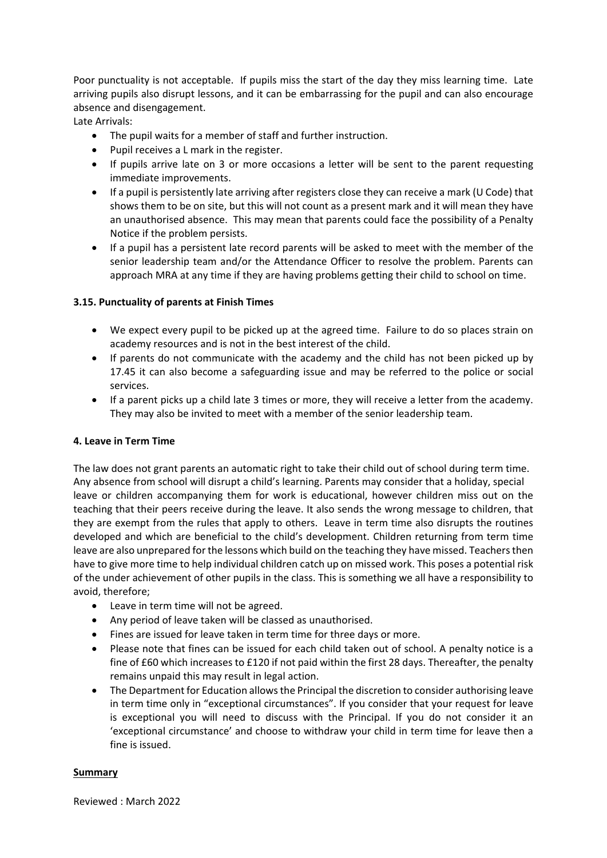Poor punctuality is not acceptable. If pupils miss the start of the day they miss learning time. Late arriving pupils also disrupt lessons, and it can be embarrassing for the pupil and can also encourage absence and disengagement.

Late Arrivals:

- The pupil waits for a member of staff and further instruction.
- Pupil receives a L mark in the register.
- If pupils arrive late on 3 or more occasions a letter will be sent to the parent requesting immediate improvements.
- If a pupil is persistently late arriving after registers close they can receive a mark (U Code) that shows them to be on site, but this will not count as a present mark and it will mean they have an unauthorised absence. This may mean that parents could face the possibility of a Penalty Notice if the problem persists.
- If a pupil has a persistent late record parents will be asked to meet with the member of the senior leadership team and/or the Attendance Officer to resolve the problem. Parents can approach MRA at any time if they are having problems getting their child to school on time.

## **3.15. Punctuality of parents at Finish Times**

- We expect every pupil to be picked up at the agreed time. Failure to do so places strain on academy resources and is not in the best interest of the child.
- If parents do not communicate with the academy and the child has not been picked up by 17.45 it can also become a safeguarding issue and may be referred to the police or social services.
- If a parent picks up a child late 3 times or more, they will receive a letter from the academy. They may also be invited to meet with a member of the senior leadership team.

#### **4. Leave in Term Time**

The law does not grant parents an automatic right to take their child out of school during term time. Any absence from school will disrupt a child's learning. Parents may consider that a holiday, special leave or children accompanying them for work is educational, however children miss out on the teaching that their peers receive during the leave. It also sends the wrong message to children, that they are exempt from the rules that apply to others. Leave in term time also disrupts the routines developed and which are beneficial to the child's development. Children returning from term time leave are also unprepared for the lessons which build on the teaching they have missed. Teachers then have to give more time to help individual children catch up on missed work. This poses a potential risk of the under achievement of other pupils in the class. This is something we all have a responsibility to avoid, therefore;

- Leave in term time will not be agreed.
- Any period of leave taken will be classed as unauthorised.
- Fines are issued for leave taken in term time for three days or more.
- Please note that fines can be issued for each child taken out of school. A penalty notice is a fine of £60 which increases to £120 if not paid within the first 28 days. Thereafter, the penalty remains unpaid this may result in legal action.
- The Department for Education allows the Principal the discretion to consider authorising leave in term time only in "exceptional circumstances". If you consider that your request for leave is exceptional you will need to discuss with the Principal. If you do not consider it an 'exceptional circumstance' and choose to withdraw your child in term time for leave then a fine is issued.

#### **Summary**